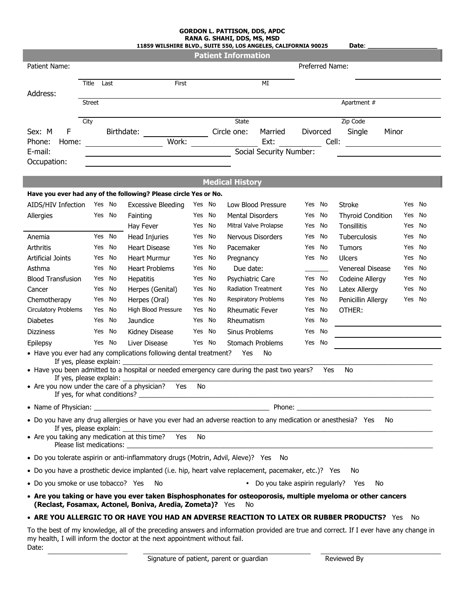## **GORDON L. PATTISON, DDS, APDC RANA G. SHAHI, DDS, MS, MSD**

|                                                    |               |        | 11859 WILSHIRE BLVD., SUITE 550, LOS ANGELES, CALIFORNIA 90025                                                                                                                                                     |                         |    | שטויו <sub>ו</sub> טויו <sub>ו</sub> טשש <sub>ו</sub> נו ואו וט |                                      |     |                 | Date:                    |        |        |
|----------------------------------------------------|---------------|--------|--------------------------------------------------------------------------------------------------------------------------------------------------------------------------------------------------------------------|-------------------------|----|-----------------------------------------------------------------|--------------------------------------|-----|-----------------|--------------------------|--------|--------|
| Patient Name:                                      |               |        |                                                                                                                                                                                                                    |                         |    | <b>Patient Information</b>                                      |                                      |     | Preferred Name: |                          |        |        |
|                                                    |               |        |                                                                                                                                                                                                                    |                         |    |                                                                 |                                      |     |                 |                          |        |        |
|                                                    | Title         | Last   | First                                                                                                                                                                                                              |                         |    |                                                                 | MI                                   |     |                 |                          |        |        |
| Address:                                           |               |        |                                                                                                                                                                                                                    |                         |    |                                                                 |                                      |     |                 |                          |        |        |
|                                                    | <b>Street</b> |        |                                                                                                                                                                                                                    |                         |    |                                                                 |                                      |     |                 | Apartment #              |        |        |
|                                                    | City          |        |                                                                                                                                                                                                                    |                         |    | <b>State</b>                                                    |                                      |     |                 | Zip Code                 |        |        |
| F<br>Sex: M                                        |               |        | Birthdate: Circle one:                                                                                                                                                                                             |                         |    |                                                                 | Married                              |     | Divorced        | Single                   | Minor  |        |
| Phone:<br>Home:                                    |               |        | Work:                                                                                                                                                                                                              | Ext:                    |    |                                                                 | Cell:                                |     |                 |                          |        |        |
| E-mail:                                            |               |        |                                                                                                                                                                                                                    | Social Security Number: |    |                                                                 |                                      |     |                 |                          |        |        |
| Occupation:                                        |               |        |                                                                                                                                                                                                                    |                         |    |                                                                 |                                      |     |                 |                          |        |        |
|                                                    |               |        |                                                                                                                                                                                                                    |                         |    | <b>Medical History</b>                                          |                                      |     |                 |                          |        |        |
|                                                    |               |        | Have you ever had any of the following? Please circle Yes or No.                                                                                                                                                   |                         |    |                                                                 |                                      |     |                 |                          |        |        |
| AIDS/HIV Infection                                 |               | Yes No | <b>Excessive Bleeding</b>                                                                                                                                                                                          | Yes No                  |    |                                                                 | Low Blood Pressure                   |     | Yes No          | <b>Stroke</b>            |        | Yes No |
| Allergies                                          |               | Yes No | Fainting                                                                                                                                                                                                           | Yes No                  |    | <b>Mental Disorders</b>                                         |                                      |     | Yes No          | <b>Thyroid Condition</b> |        | Yes No |
|                                                    |               |        | Hay Fever                                                                                                                                                                                                          | Yes                     | No |                                                                 | <b>Mitral Valve Prolapse</b>         | Yes | No              | Tonsillitis              | Yes    | No     |
| Anemia                                             |               | Yes No | Head Injuries                                                                                                                                                                                                      | Yes No                  |    |                                                                 | Nervous Disorders                    |     | Yes No          | Tuberculosis             | Yes    | No     |
| <b>Arthritis</b>                                   | Yes           | No     | <b>Heart Disease</b>                                                                                                                                                                                               | Yes                     | No | Pacemaker                                                       |                                      | Yes | No              | Tumors                   | Yes    | No     |
| <b>Artificial Joints</b>                           | Yes           | No     | <b>Heart Murmur</b>                                                                                                                                                                                                | Yes                     | No | Pregnancy                                                       |                                      |     | Yes No          | <b>Ulcers</b>            | Yes    | No     |
| Asthma                                             | Yes           | No     | <b>Heart Problems</b>                                                                                                                                                                                              | Yes No                  |    | Due date:                                                       |                                      |     |                 | <b>Venereal Disease</b>  | Yes    | No     |
| <b>Blood Transfusion</b>                           | Yes           | No     | Hepatitis                                                                                                                                                                                                          | Yes                     | No | Psychiatric Care                                                |                                      |     | Yes No          | Codeine Allergy          | Yes    | No     |
| Cancer                                             | Yes           | No     | Herpes (Genital)                                                                                                                                                                                                   | Yes                     | No |                                                                 | <b>Radiation Treatment</b>           |     | Yes No          | Latex Allergy            | Yes    | No     |
| Chemotherapy                                       | Yes           | No     | Herpes (Oral)                                                                                                                                                                                                      | Yes                     | No |                                                                 | <b>Respiratory Problems</b>          |     | Yes No          | Penicillin Allergy       | Yes No |        |
| <b>Circulatory Problems</b>                        | Yes           | No     | High Blood Pressure                                                                                                                                                                                                | Yes                     | No | <b>Rheumatic Fever</b>                                          |                                      | Yes | No              | OTHER:                   |        |        |
| <b>Diabetes</b>                                    | Yes           | No     | Jaundice                                                                                                                                                                                                           | Yes                     | No | Rheumatism                                                      |                                      | Yes | No              |                          |        |        |
| <b>Dizziness</b>                                   | Yes           | No     | Kidney Disease                                                                                                                                                                                                     | Yes                     | No | Sinus Problems                                                  |                                      |     | Yes No          |                          |        |        |
| Epilepsy                                           |               | Yes No | Liver Disease                                                                                                                                                                                                      | Yes No                  |    |                                                                 | Stomach Problems                     |     | Yes No          |                          |        |        |
|                                                    |               |        | • Have you ever had any complications following dental treatment?                                                                                                                                                  |                         |    | Yes                                                             | No                                   |     |                 |                          |        |        |
| If yes, please explain:<br>If yes, please explain: |               |        | • Have you been admitted to a hospital or needed emergency care during the past two years?                                                                                                                         |                         |    |                                                                 |                                      |     | Yes             | No                       |        |        |
|                                                    |               |        | • Are you now under the care of a physician? Yes                                                                                                                                                                   | No                      |    |                                                                 |                                      |     |                 |                          |        |        |
|                                                    |               |        |                                                                                                                                                                                                                    |                         |    |                                                                 |                                      |     |                 |                          |        |        |
|                                                    |               |        | • Do you have any drug allergies or have you ever had an adverse reaction to any medication or anesthesia? Yes                                                                                                     |                         |    |                                                                 |                                      |     |                 | No.                      |        |        |
|                                                    |               |        |                                                                                                                                                                                                                    |                         |    |                                                                 |                                      |     |                 |                          |        |        |
|                                                    |               |        | • Are you taking any medication at this time? Yes No                                                                                                                                                               |                         |    |                                                                 |                                      |     |                 |                          |        |        |
|                                                    |               |        | • Do you tolerate aspirin or anti-inflammatory drugs (Motrin, Advil, Aleve)? Yes No                                                                                                                                |                         |    |                                                                 |                                      |     |                 |                          |        |        |
|                                                    |               |        | • Do you have a prosthetic device implanted (i.e. hip, heart valve replacement, pacemaker, etc.)? Yes                                                                                                              |                         |    |                                                                 |                                      |     |                 | No.                      |        |        |
| • Do you smoke or use tobacco? Yes                 |               |        | No                                                                                                                                                                                                                 |                         |    |                                                                 | • Do you take aspirin regularly? Yes |     |                 | No                       |        |        |
|                                                    |               |        | • Are you taking or have you ever taken Bisphosphonates for osteoporosis, multiple myeloma or other cancers<br>(Reclast, Fosamax, Actonel, Boniva, Aredia, Zometa)? Yes                                            |                         |    | No                                                              |                                      |     |                 |                          |        |        |
|                                                    |               |        | • ARE YOU ALLERGIC TO OR HAVE YOU HAD AN ADVERSE REACTION TO LATEX OR RUBBER PRODUCTS? Yes No                                                                                                                      |                         |    |                                                                 |                                      |     |                 |                          |        |        |
|                                                    |               |        | To the best of my knowledge, all of the preceding answers and information provided are true and correct. If I ever have any change in<br>my health, I will inform the doctor at the next appointment without fail. |                         |    |                                                                 |                                      |     |                 |                          |        |        |